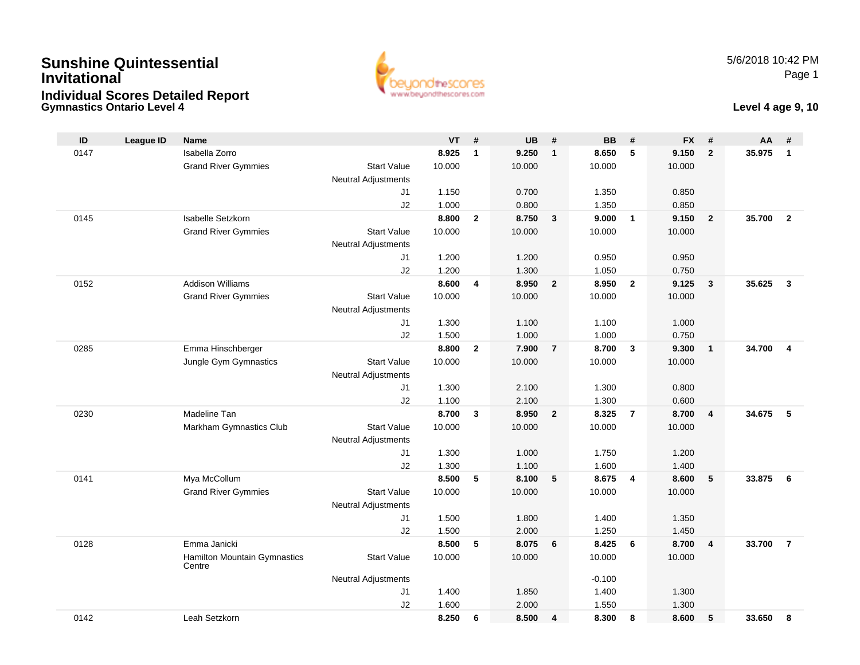## **Gymnastics Ontario Level 4Sunshine QuintessentialInvitationalIndividual Scores Detailed Report**



### **Level 4 age 9, 10**

| ID   | <b>League ID</b> | <b>Name</b>                            |                            | <b>VT</b> | #                       | <b>UB</b> | #                       | <b>BB</b> | #                       | <b>FX</b> | #              | AA     | #                       |
|------|------------------|----------------------------------------|----------------------------|-----------|-------------------------|-----------|-------------------------|-----------|-------------------------|-----------|----------------|--------|-------------------------|
| 0147 |                  | Isabella Zorro                         |                            | 8.925     | $\mathbf{1}$            | 9.250     | $\mathbf{1}$            | 8.650     | 5                       | 9.150     | $\overline{2}$ | 35.975 | $\mathbf{1}$            |
|      |                  | <b>Grand River Gymmies</b>             | <b>Start Value</b>         | 10.000    |                         | 10.000    |                         | 10.000    |                         | 10.000    |                |        |                         |
|      |                  |                                        | <b>Neutral Adjustments</b> |           |                         |           |                         |           |                         |           |                |        |                         |
|      |                  |                                        | J1                         | 1.150     |                         | 0.700     |                         | 1.350     |                         | 0.850     |                |        |                         |
|      |                  |                                        | J2                         | 1.000     |                         | 0.800     |                         | 1.350     |                         | 0.850     |                |        |                         |
| 0145 |                  | Isabelle Setzkorn                      |                            | 8.800     | $\mathbf{2}$            | 8.750     | $\mathbf{3}$            | 9.000     | $\overline{1}$          | 9.150     | $\overline{2}$ | 35.700 | $\overline{2}$          |
|      |                  | <b>Grand River Gymmies</b>             | <b>Start Value</b>         | 10.000    |                         | 10.000    |                         | 10.000    |                         | 10.000    |                |        |                         |
|      |                  |                                        | <b>Neutral Adjustments</b> |           |                         |           |                         |           |                         |           |                |        |                         |
|      |                  |                                        | J1                         | 1.200     |                         | 1.200     |                         | 0.950     |                         | 0.950     |                |        |                         |
|      |                  |                                        | J2                         | 1.200     |                         | 1.300     |                         | 1.050     |                         | 0.750     |                |        |                         |
| 0152 |                  | <b>Addison Williams</b>                |                            | 8.600     | $\overline{\mathbf{4}}$ | 8.950     | $\overline{2}$          | 8.950     | $\overline{2}$          | 9.125     | $\mathbf{3}$   | 35.625 | $\mathbf{3}$            |
|      |                  | <b>Grand River Gymmies</b>             | <b>Start Value</b>         | 10.000    |                         | 10.000    |                         | 10.000    |                         | 10.000    |                |        |                         |
|      |                  |                                        | <b>Neutral Adjustments</b> |           |                         |           |                         |           |                         |           |                |        |                         |
|      |                  |                                        | J1                         | 1.300     |                         | 1.100     |                         | 1.100     |                         | 1.000     |                |        |                         |
|      |                  |                                        | J2                         | 1.500     |                         | 1.000     |                         | 1.000     |                         | 0.750     |                |        |                         |
| 0285 |                  | Emma Hinschberger                      |                            | 8.800     | $\overline{2}$          | 7.900     | $\overline{7}$          | 8.700     | $\overline{\mathbf{3}}$ | 9.300     | $\overline{1}$ | 34.700 | $\overline{\mathbf{4}}$ |
|      |                  | Jungle Gym Gymnastics                  | <b>Start Value</b>         | 10.000    |                         | 10.000    |                         | 10.000    |                         | 10.000    |                |        |                         |
|      |                  |                                        | <b>Neutral Adjustments</b> |           |                         |           |                         |           |                         |           |                |        |                         |
|      |                  |                                        | J1                         | 1.300     |                         | 2.100     |                         | 1.300     |                         | 0.800     |                |        |                         |
|      |                  |                                        | J2                         | 1.100     |                         | 2.100     |                         | 1.300     |                         | 0.600     |                |        |                         |
| 0230 |                  | Madeline Tan                           |                            | 8.700     | $\mathbf{3}$            | 8.950     | $\overline{\mathbf{2}}$ | 8.325     | $\overline{7}$          | 8.700     | $\overline{4}$ | 34.675 | 5                       |
|      |                  | Markham Gymnastics Club                | <b>Start Value</b>         | 10.000    |                         | 10.000    |                         | 10.000    |                         | 10.000    |                |        |                         |
|      |                  |                                        | <b>Neutral Adjustments</b> |           |                         |           |                         |           |                         |           |                |        |                         |
|      |                  |                                        | J1                         | 1.300     |                         | 1.000     |                         | 1.750     |                         | 1.200     |                |        |                         |
|      |                  |                                        | J2                         | 1.300     |                         | 1.100     |                         | 1.600     |                         | 1.400     |                |        |                         |
| 0141 |                  | Mya McCollum                           |                            | 8.500     | 5                       | 8.100     | 5                       | 8.675     | $\overline{4}$          | 8.600     | 5              | 33.875 | 6                       |
|      |                  | <b>Grand River Gymmies</b>             | <b>Start Value</b>         | 10.000    |                         | 10.000    |                         | 10.000    |                         | 10.000    |                |        |                         |
|      |                  |                                        | <b>Neutral Adjustments</b> |           |                         |           |                         |           |                         |           |                |        |                         |
|      |                  |                                        | J1                         | 1.500     |                         | 1.800     |                         | 1.400     |                         | 1.350     |                |        |                         |
|      |                  |                                        | J <sub>2</sub>             | 1.500     |                         | 2.000     |                         | 1.250     |                         | 1.450     |                |        |                         |
| 0128 |                  | Emma Janicki                           |                            | 8.500     | 5                       | 8.075     | 6                       | 8.425     | 6                       | 8.700     | $\overline{4}$ | 33.700 | $\overline{7}$          |
|      |                  | Hamilton Mountain Gymnastics<br>Centre | <b>Start Value</b>         | 10.000    |                         | 10.000    |                         | 10.000    |                         | 10.000    |                |        |                         |
|      |                  |                                        | <b>Neutral Adjustments</b> |           |                         |           |                         | $-0.100$  |                         |           |                |        |                         |
|      |                  |                                        | J1                         | 1.400     |                         | 1.850     |                         | 1.400     |                         | 1.300     |                |        |                         |
|      |                  |                                        | J2                         | 1.600     |                         | 2.000     |                         | 1.550     |                         | 1.300     |                |        |                         |
| 0142 |                  | Leah Setzkorn                          |                            | 8.250     | 6                       | 8.500     | 4                       | 8.300     | 8                       | 8.600     | 5              | 33.650 | 8                       |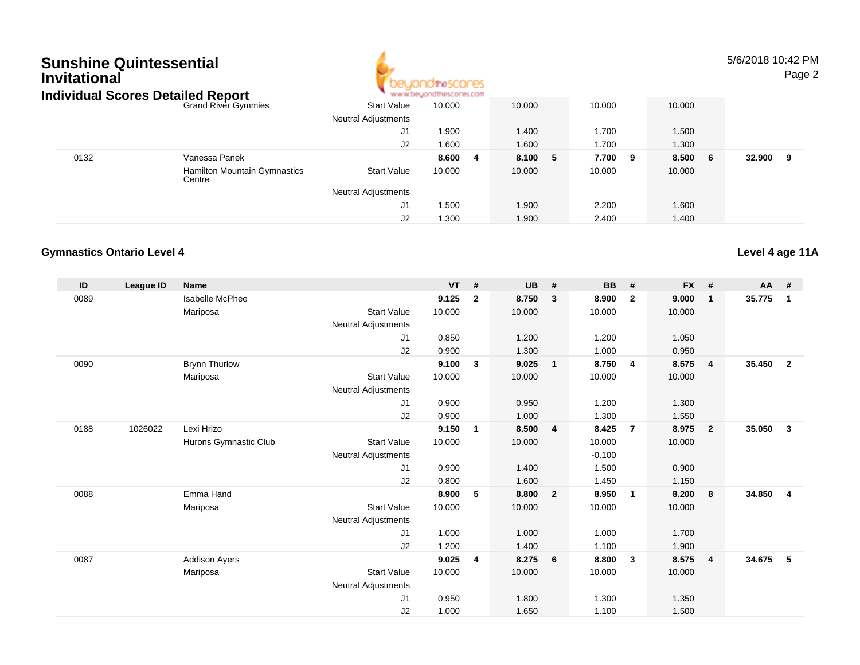

5/6/2018 10:42 PMPage 2

| ndividual Scores Detailed Report |                                               |                            | * www.beyondthescores.com |             |         |         |             |
|----------------------------------|-----------------------------------------------|----------------------------|---------------------------|-------------|---------|---------|-------------|
|                                  | <b>Grand River Gymmies</b>                    | <b>Start Value</b>         | 10.000                    | 10.000      | 10.000  | 10.000  |             |
|                                  |                                               | <b>Neutral Adjustments</b> |                           |             |         |         |             |
|                                  |                                               | J1                         | 1.900                     | 1.400       | 1.700   | 1.500   |             |
|                                  |                                               | J2                         | 1.600                     | 1.600       | 1.700   | 1.300   |             |
| 0132                             | Vanessa Panek                                 |                            | 8.600<br>-4               | 8.100<br>-5 | 7.700 9 | 8.500 6 | 32.900<br>9 |
|                                  | <b>Hamilton Mountain Gymnastics</b><br>Centre | <b>Start Value</b>         | 10.000                    | 10.000      | 10.000  | 10.000  |             |
|                                  |                                               | <b>Neutral Adjustments</b> |                           |             |         |         |             |
|                                  |                                               | J1                         | 1.500                     | 1.900       | 2.200   | 1.600   |             |
|                                  |                                               | J2                         | 1.300                     | 1.900       | 2.400   | 1.400   |             |

### **Gymnastics Ontario Level 4**

| ID   | League ID | <b>Name</b>            |                            | <b>VT</b> | #              | <b>UB</b> | #                       | <b>BB</b> | #              | <b>FX</b> | #              | AA     | #                       |
|------|-----------|------------------------|----------------------------|-----------|----------------|-----------|-------------------------|-----------|----------------|-----------|----------------|--------|-------------------------|
| 0089 |           | <b>Isabelle McPhee</b> |                            | 9.125     | $\overline{2}$ | 8.750     | $\mathbf{3}$            | 8.900     | $\mathbf{2}$   | 9.000     | $\mathbf{1}$   | 35.775 | $\overline{\mathbf{1}}$ |
|      |           | Mariposa               | <b>Start Value</b>         | 10.000    |                | 10.000    |                         | 10.000    |                | 10.000    |                |        |                         |
|      |           |                        | Neutral Adjustments        |           |                |           |                         |           |                |           |                |        |                         |
|      |           |                        | J <sub>1</sub>             | 0.850     |                | 1.200     |                         | 1.200     |                | 1.050     |                |        |                         |
|      |           |                        | J2                         | 0.900     |                | 1.300     |                         | 1.000     |                | 0.950     |                |        |                         |
| 0090 |           | <b>Brynn Thurlow</b>   |                            | 9.100     | $\mathbf{3}$   | 9.025     | $\overline{1}$          | 8.750     | 4              | 8.575     | 4              | 35.450 | $\overline{\mathbf{2}}$ |
|      |           | Mariposa               | <b>Start Value</b>         | 10.000    |                | 10.000    |                         | 10.000    |                | 10.000    |                |        |                         |
|      |           |                        | Neutral Adjustments        |           |                |           |                         |           |                |           |                |        |                         |
|      |           |                        | J <sub>1</sub>             | 0.900     |                | 0.950     |                         | 1.200     |                | 1.300     |                |        |                         |
|      |           |                        | J2                         | 0.900     |                | 1.000     |                         | 1.300     |                | 1.550     |                |        |                         |
| 0188 | 1026022   | Lexi Hrizo             |                            | 9.150     | $\overline{1}$ | 8.500     | $\overline{4}$          | 8.425     | $\overline{7}$ | 8.975     | $\overline{2}$ | 35.050 | $\mathbf{3}$            |
|      |           | Hurons Gymnastic Club  | <b>Start Value</b>         | 10.000    |                | 10.000    |                         | 10.000    |                | 10.000    |                |        |                         |
|      |           |                        | <b>Neutral Adjustments</b> |           |                |           |                         | $-0.100$  |                |           |                |        |                         |
|      |           |                        | J <sub>1</sub>             | 0.900     |                | 1.400     |                         | 1.500     |                | 0.900     |                |        |                         |
|      |           |                        | J2                         | 0.800     |                | 1.600     |                         | 1.450     |                | 1.150     |                |        |                         |
| 0088 |           | Emma Hand              |                            | 8.900     | 5              | 8.800     | $\overline{\mathbf{2}}$ | 8.950     | $\mathbf{1}$   | 8.200     | 8              | 34.850 | $\overline{\mathbf{4}}$ |
|      |           | Mariposa               | <b>Start Value</b>         | 10.000    |                | 10.000    |                         | 10.000    |                | 10.000    |                |        |                         |
|      |           |                        | <b>Neutral Adjustments</b> |           |                |           |                         |           |                |           |                |        |                         |
|      |           |                        | J <sub>1</sub>             | 1.000     |                | 1.000     |                         | 1.000     |                | 1.700     |                |        |                         |
|      |           |                        | J2                         | 1.200     |                | 1.400     |                         | 1.100     |                | 1.900     |                |        |                         |
| 0087 |           | <b>Addison Ayers</b>   |                            | 9.025     | 4              | 8.275     | 6                       | 8.800     | 3              | 8.575     | $\overline{4}$ | 34.675 | 5                       |
|      |           | Mariposa               | <b>Start Value</b>         | 10.000    |                | 10.000    |                         | 10.000    |                | 10.000    |                |        |                         |
|      |           |                        | <b>Neutral Adjustments</b> |           |                |           |                         |           |                |           |                |        |                         |
|      |           |                        | J <sub>1</sub>             | 0.950     |                | 1.800     |                         | 1.300     |                | 1.350     |                |        |                         |
|      |           |                        | J <sub>2</sub>             | 1.000     |                | 1.650     |                         | 1.100     |                | 1.500     |                |        |                         |

**Level 4 age 11A**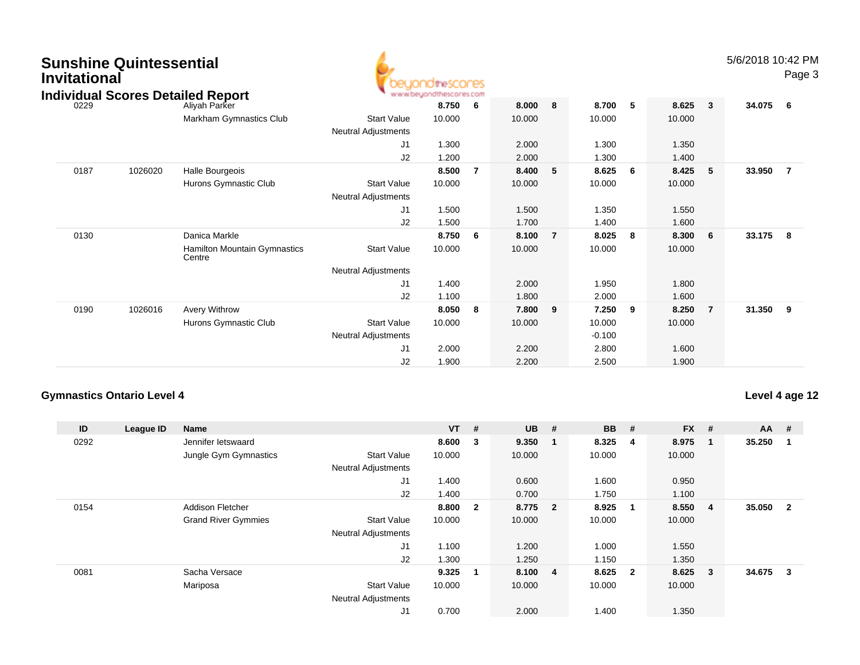| <b>Sunshine Quintessential</b> |  |
|--------------------------------|--|
| <b>Invitational</b>            |  |



|      |         | ndividual Scores Detailed Report              |                            | www.beyondthescores.com |     |        |                |          |   |        |                         |        |                |
|------|---------|-----------------------------------------------|----------------------------|-------------------------|-----|--------|----------------|----------|---|--------|-------------------------|--------|----------------|
| 0229 |         | Aliyah Parker                                 |                            | 8.750                   | - 6 | 8.000  | 8              | 8.700    | 5 | 8.625  | $\overline{\mathbf{3}}$ | 34.075 | - 6            |
|      |         | Markham Gymnastics Club                       | <b>Start Value</b>         | 10.000                  |     | 10.000 |                | 10.000   |   | 10.000 |                         |        |                |
|      |         |                                               | Neutral Adjustments        |                         |     |        |                |          |   |        |                         |        |                |
|      |         |                                               | J <sub>1</sub>             | 1.300                   |     | 2.000  |                | 1.300    |   | 1.350  |                         |        |                |
|      |         |                                               | J2                         | 1.200                   |     | 2.000  |                | 1.300    |   | 1.400  |                         |        |                |
| 0187 | 1026020 | Halle Bourgeois                               |                            | 8.500                   | -7  | 8.400  | 5              | 8.625    | 6 | 8.425  | - 5                     | 33.950 | $\overline{7}$ |
|      |         | Hurons Gymnastic Club                         | <b>Start Value</b>         | 10.000                  |     | 10.000 |                | 10.000   |   | 10.000 |                         |        |                |
|      |         |                                               | Neutral Adjustments        |                         |     |        |                |          |   |        |                         |        |                |
|      |         |                                               | J <sub>1</sub>             | 1.500                   |     | 1.500  |                | 1.350    |   | 1.550  |                         |        |                |
|      |         |                                               | J2                         | 1.500                   |     | 1.700  |                | 1.400    |   | 1.600  |                         |        |                |
| 0130 |         | Danica Markle                                 |                            | 8.750                   | 6   | 8.100  | $\overline{7}$ | 8.025    | 8 | 8.300  | - 6                     | 33.175 | - 8            |
|      |         | <b>Hamilton Mountain Gymnastics</b><br>Centre | <b>Start Value</b>         | 10.000                  |     | 10.000 |                | 10.000   |   | 10.000 |                         |        |                |
|      |         |                                               | <b>Neutral Adjustments</b> |                         |     |        |                |          |   |        |                         |        |                |
|      |         |                                               | J <sub>1</sub>             | 1.400                   |     | 2.000  |                | 1.950    |   | 1.800  |                         |        |                |
|      |         |                                               | J2                         | 1.100                   |     | 1.800  |                | 2.000    |   | 1.600  |                         |        |                |
| 0190 | 1026016 | Avery Withrow                                 |                            | 8.050                   | 8   | 7.800  | 9              | 7.250    | 9 | 8.250  | $\overline{7}$          | 31.350 | 9              |
|      |         | Hurons Gymnastic Club                         | <b>Start Value</b>         | 10.000                  |     | 10.000 |                | 10.000   |   | 10.000 |                         |        |                |
|      |         |                                               | Neutral Adjustments        |                         |     |        |                | $-0.100$ |   |        |                         |        |                |
|      |         |                                               | J <sub>1</sub>             | 2.000                   |     | 2.200  |                | 2.800    |   | 1.600  |                         |        |                |
|      |         |                                               | J <sub>2</sub>             | 1.900                   |     | 2.200  |                | 2.500    |   | 1.900  |                         |        |                |

## **Gymnastics Ontario Level 4**

**Level 4 age 12**

| ID   | League ID | <b>Name</b>                |                            | $VT$ # |                         | <b>UB</b> | #                       | <b>BB</b> | #                       | <b>FX</b> | # | $AA$ # |                |
|------|-----------|----------------------------|----------------------------|--------|-------------------------|-----------|-------------------------|-----------|-------------------------|-----------|---|--------|----------------|
| 0292 |           | Jennifer letswaard         |                            | 8.600  | $\overline{\mathbf{3}}$ | 9.350     | - 1                     | 8.325     | -4                      | 8.975     |   | 35.250 |                |
|      |           | Jungle Gym Gymnastics      | <b>Start Value</b>         | 10.000 |                         | 10.000    |                         | 10.000    |                         | 10.000    |   |        |                |
|      |           |                            | <b>Neutral Adjustments</b> |        |                         |           |                         |           |                         |           |   |        |                |
|      |           |                            | J1                         | 1.400  |                         | 0.600     |                         | 1.600     |                         | 0.950     |   |        |                |
|      |           |                            | J <sub>2</sub>             | 1.400  |                         | 0.700     |                         | 1.750     |                         | 1.100     |   |        |                |
| 0154 |           | <b>Addison Fletcher</b>    |                            | 8.800  | $\overline{\mathbf{2}}$ | 8.775     | $\overline{\mathbf{2}}$ | 8.925     | $\mathbf{1}$            | 8.550     | 4 | 35.050 | $\overline{2}$ |
|      |           | <b>Grand River Gymmies</b> | <b>Start Value</b>         | 10.000 |                         | 10.000    |                         | 10.000    |                         | 10.000    |   |        |                |
|      |           |                            | <b>Neutral Adjustments</b> |        |                         |           |                         |           |                         |           |   |        |                |
|      |           |                            | J1                         | 1.100  |                         | 1.200     |                         | 1.000     |                         | 1.550     |   |        |                |
|      |           |                            | J <sub>2</sub>             | 1.300  |                         | 1.250     |                         | 1.150     |                         | 1.350     |   |        |                |
| 0081 |           | Sacha Versace              |                            | 9.325  | -1                      | 8.100     | $\overline{4}$          | 8.625     | $\overline{\mathbf{2}}$ | 8.625     | 3 | 34.675 | 3              |
|      |           | Mariposa                   | <b>Start Value</b>         | 10.000 |                         | 10.000    |                         | 10.000    |                         | 10.000    |   |        |                |
|      |           |                            | <b>Neutral Adjustments</b> |        |                         |           |                         |           |                         |           |   |        |                |
|      |           |                            | J1                         | 0.700  |                         | 2.000     |                         | 1.400     |                         | 1.350     |   |        |                |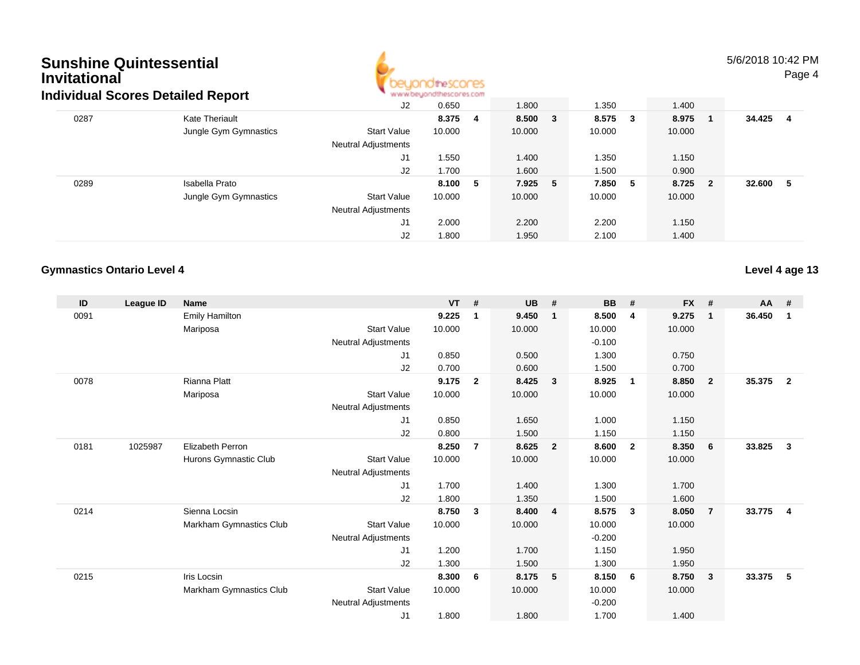

### 5/6/2018 10:42 PMPage 4

|      | dividual Scores Detailed Report |                     | and with a brochure of the post side and and concerns and the state product and |         |         |        |                         |        |    |
|------|---------------------------------|---------------------|---------------------------------------------------------------------------------|---------|---------|--------|-------------------------|--------|----|
|      |                                 | J2                  | 0.650                                                                           | 1.800   | 1.350   | 1.400  |                         |        |    |
| 0287 | <b>Kate Theriault</b>           |                     | 8.375 4                                                                         | 8.500 3 | 8.575 3 | 8.975  | - 1                     | 34.425 | -4 |
|      | Jungle Gym Gymnastics           | <b>Start Value</b>  | 10.000                                                                          | 10.000  | 10.000  | 10.000 |                         |        |    |
|      |                                 | Neutral Adjustments |                                                                                 |         |         |        |                         |        |    |
|      |                                 | J1                  | .550                                                                            | 1.400   | 1.350   | 1.150  |                         |        |    |
|      |                                 | J2                  | 1.700                                                                           | 1.600   | 1.500   | 0.900  |                         |        |    |
| 0289 | Isabella Prato                  |                     | 8.100 5                                                                         | 7.925 5 | 7.850 5 | 8.725  | $\overline{\mathbf{2}}$ | 32.600 | -5 |
|      | Jungle Gym Gymnastics           | <b>Start Value</b>  | 10.000                                                                          | 10.000  | 10.000  | 10.000 |                         |        |    |
|      |                                 | Neutral Adjustments |                                                                                 |         |         |        |                         |        |    |
|      |                                 | J1                  | 2.000                                                                           | 2.200   | 2.200   | 1.150  |                         |        |    |
|      |                                 | J2                  | 1.800                                                                           | 1.950   | 2.100   | 1.400  |                         |        |    |
|      |                                 |                     |                                                                                 |         |         |        |                         |        |    |

### **Gymnastics Ontario Level 4**

**Level 4 age 13**

| ID   | League ID | <b>Name</b>             |                            | <b>VT</b> | #              | <b>UB</b> | #                       | <b>BB</b> | #                       | <b>FX</b> | #            | $AA$ # |                |
|------|-----------|-------------------------|----------------------------|-----------|----------------|-----------|-------------------------|-----------|-------------------------|-----------|--------------|--------|----------------|
| 0091 |           | <b>Emily Hamilton</b>   |                            | 9.225     | 1              | 9.450     | $\mathbf 1$             | 8.500     | $\overline{4}$          | 9.275     | $\mathbf{1}$ | 36.450 | 1              |
|      |           | Mariposa                | <b>Start Value</b>         | 10.000    |                | 10.000    |                         | 10.000    |                         | 10.000    |              |        |                |
|      |           |                         | Neutral Adjustments        |           |                |           |                         | $-0.100$  |                         |           |              |        |                |
|      |           |                         | J1                         | 0.850     |                | 0.500     |                         | 1.300     |                         | 0.750     |              |        |                |
|      |           |                         | J2                         | 0.700     |                | 0.600     |                         | 1.500     |                         | 0.700     |              |        |                |
| 0078 |           | Rianna Platt            |                            | 9.175     | $\overline{2}$ | 8.425     | $\overline{\mathbf{3}}$ | 8.925     | $\overline{1}$          | 8.850     | $\mathbf{2}$ | 35.375 | $\overline{2}$ |
|      |           | Mariposa                | <b>Start Value</b>         | 10.000    |                | 10.000    |                         | 10.000    |                         | 10.000    |              |        |                |
|      |           |                         | Neutral Adjustments        |           |                |           |                         |           |                         |           |              |        |                |
|      |           |                         | J1                         | 0.850     |                | 1.650     |                         | 1.000     |                         | 1.150     |              |        |                |
|      |           |                         | J <sub>2</sub>             | 0.800     |                | 1.500     |                         | 1.150     |                         | 1.150     |              |        |                |
| 0181 | 1025987   | <b>Elizabeth Perron</b> |                            | 8.250     | $\overline{7}$ | 8.625     | $\overline{2}$          | 8.600     | $\overline{\mathbf{2}}$ | 8.350     | 6            | 33.825 | $\mathbf{3}$   |
|      |           | Hurons Gymnastic Club   | <b>Start Value</b>         | 10.000    |                | 10.000    |                         | 10.000    |                         | 10.000    |              |        |                |
|      |           |                         | Neutral Adjustments        |           |                |           |                         |           |                         |           |              |        |                |
|      |           |                         | J1                         | 1.700     |                | 1.400     |                         | 1.300     |                         | 1.700     |              |        |                |
|      |           |                         | J <sub>2</sub>             | 1.800     |                | 1.350     |                         | 1.500     |                         | 1.600     |              |        |                |
| 0214 |           | Sienna Locsin           |                            | 8.750     | $\mathbf{3}$   | 8.400     | $\overline{\mathbf{4}}$ | 8.575     | $\mathbf{3}$            | 8.050     | 7            | 33.775 | 4              |
|      |           | Markham Gymnastics Club | <b>Start Value</b>         | 10.000    |                | 10.000    |                         | 10.000    |                         | 10.000    |              |        |                |
|      |           |                         | Neutral Adjustments        |           |                |           |                         | $-0.200$  |                         |           |              |        |                |
|      |           |                         | J1                         | 1.200     |                | 1.700     |                         | 1.150     |                         | 1.950     |              |        |                |
|      |           |                         | J <sub>2</sub>             | 1.300     |                | 1.500     |                         | 1.300     |                         | 1.950     |              |        |                |
| 0215 |           | Iris Locsin             |                            | 8.300     | 6              | 8.175     | 5                       | 8.150     | 6                       | 8.750     | 3            | 33.375 | 5              |
|      |           | Markham Gymnastics Club | <b>Start Value</b>         | 10.000    |                | 10.000    |                         | 10.000    |                         | 10.000    |              |        |                |
|      |           |                         | <b>Neutral Adjustments</b> |           |                |           |                         | $-0.200$  |                         |           |              |        |                |
|      |           |                         | J <sub>1</sub>             | 1.800     |                | 1.800     |                         | 1.700     |                         | 1.400     |              |        |                |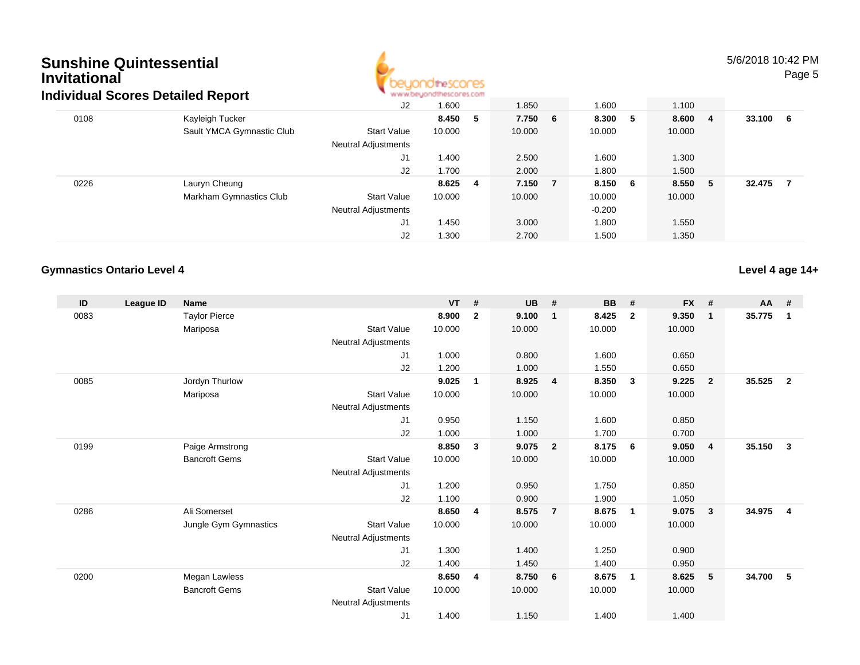

5/6/2018 10:42 PMPage 5

|                           | J2                              | 1.600  | 1.850              | 1.600              | 1.100              |    |        |    |
|---------------------------|---------------------------------|--------|--------------------|--------------------|--------------------|----|--------|----|
| Kayleigh Tucker           |                                 |        |                    |                    | 8.600              | -4 | 33.100 | -6 |
| Sault YMCA Gymnastic Club | <b>Start Value</b>              | 10.000 | 10.000             | 10.000             | 10.000             |    |        |    |
|                           | Neutral Adjustments             |        |                    |                    |                    |    |        |    |
|                           | J1                              | 1.400  | 2.500              | 1.600              | 1.300              |    |        |    |
|                           | J2                              | 1.700  | 2.000              | 1.800              | 1.500              |    |        |    |
| Lauryn Cheung             |                                 |        |                    |                    | 8.550              | -5 | 32.475 | 7  |
| Markham Gymnastics Club   | <b>Start Value</b>              | 10.000 | 10.000             | 10.000             | 10.000             |    |        |    |
|                           | <b>Neutral Adjustments</b>      |        |                    | $-0.200$           |                    |    |        |    |
|                           | J1                              | 1.450  | 3.000              | 1.800              | 1.550              |    |        |    |
|                           | J2                              | 1.300  | 2.700              | 1.500              | 1.350              |    |        |    |
|                           | ulviuuai Scoles Delalleu Report |        | 8.450 5<br>8.625 4 | 7.750 6<br>7.150 7 | 8.300 5<br>8.150 6 |    |        |    |

### **Gymnastics Ontario Level 4**

**Level 4 age 14+**

| ID   | League ID | <b>Name</b>           |                            | <b>VT</b> | #            | <b>UB</b> | #                       | <b>BB</b> | #                       | <b>FX</b> | #              | AA #   |                |
|------|-----------|-----------------------|----------------------------|-----------|--------------|-----------|-------------------------|-----------|-------------------------|-----------|----------------|--------|----------------|
| 0083 |           | <b>Taylor Pierce</b>  |                            | 8.900     | $\mathbf{2}$ | 9.100     | $\overline{1}$          | 8.425     | $\mathbf{2}$            | 9.350     | $\mathbf{1}$   | 35.775 | $\mathbf 1$    |
|      |           | Mariposa              | <b>Start Value</b>         | 10.000    |              | 10.000    |                         | 10.000    |                         | 10.000    |                |        |                |
|      |           |                       | Neutral Adjustments        |           |              |           |                         |           |                         |           |                |        |                |
|      |           |                       | J <sub>1</sub>             | 1.000     |              | 0.800     |                         | 1.600     |                         | 0.650     |                |        |                |
|      |           |                       | J <sub>2</sub>             | 1.200     |              | 1.000     |                         | 1.550     |                         | 0.650     |                |        |                |
| 0085 |           | Jordyn Thurlow        |                            | 9.025     | 1            | 8.925     | $\overline{4}$          | 8.350     | $\mathbf{3}$            | 9.225     | $\overline{2}$ | 35.525 | $\overline{2}$ |
|      |           | Mariposa              | <b>Start Value</b>         | 10.000    |              | 10.000    |                         | 10.000    |                         | 10.000    |                |        |                |
|      |           |                       | Neutral Adjustments        |           |              |           |                         |           |                         |           |                |        |                |
|      |           |                       | J <sub>1</sub>             | 0.950     |              | 1.150     |                         | 1.600     |                         | 0.850     |                |        |                |
|      |           |                       | J2                         | 1.000     |              | 1.000     |                         | 1.700     |                         | 0.700     |                |        |                |
| 0199 |           | Paige Armstrong       |                            | 8.850     | 3            | 9.075     | $\overline{\mathbf{2}}$ | 8.175     | - 6                     | 9.050     | 4              | 35.150 | 3              |
|      |           | <b>Bancroft Gems</b>  | <b>Start Value</b>         | 10.000    |              | 10.000    |                         | 10.000    |                         | 10.000    |                |        |                |
|      |           |                       | Neutral Adjustments        |           |              |           |                         |           |                         |           |                |        |                |
|      |           |                       | J <sub>1</sub>             | 1.200     |              | 0.950     |                         | 1.750     |                         | 0.850     |                |        |                |
|      |           |                       | J2                         | 1.100     |              | 0.900     |                         | 1.900     |                         | 1.050     |                |        |                |
| 0286 |           | Ali Somerset          |                            | 8.650     | 4            | 8.575     | $\overline{7}$          | 8.675     | $\overline{\mathbf{1}}$ | 9.075     | 3              | 34.975 | 4              |
|      |           | Jungle Gym Gymnastics | <b>Start Value</b>         | 10.000    |              | 10.000    |                         | 10.000    |                         | 10.000    |                |        |                |
|      |           |                       | Neutral Adjustments        |           |              |           |                         |           |                         |           |                |        |                |
|      |           |                       | J1                         | 1.300     |              | 1.400     |                         | 1.250     |                         | 0.900     |                |        |                |
|      |           |                       | J <sub>2</sub>             | 1.400     |              | 1.450     |                         | 1.400     |                         | 0.950     |                |        |                |
| 0200 |           | Megan Lawless         |                            | 8.650     | 4            | 8.750     | - 6                     | 8.675     | $\mathbf 1$             | 8.625     | 5              | 34.700 | 5              |
|      |           | <b>Bancroft Gems</b>  | <b>Start Value</b>         | 10.000    |              | 10.000    |                         | 10.000    |                         | 10.000    |                |        |                |
|      |           |                       | <b>Neutral Adjustments</b> |           |              |           |                         |           |                         |           |                |        |                |
|      |           |                       | J1                         | 1.400     |              | 1.150     |                         | 1.400     |                         | 1.400     |                |        |                |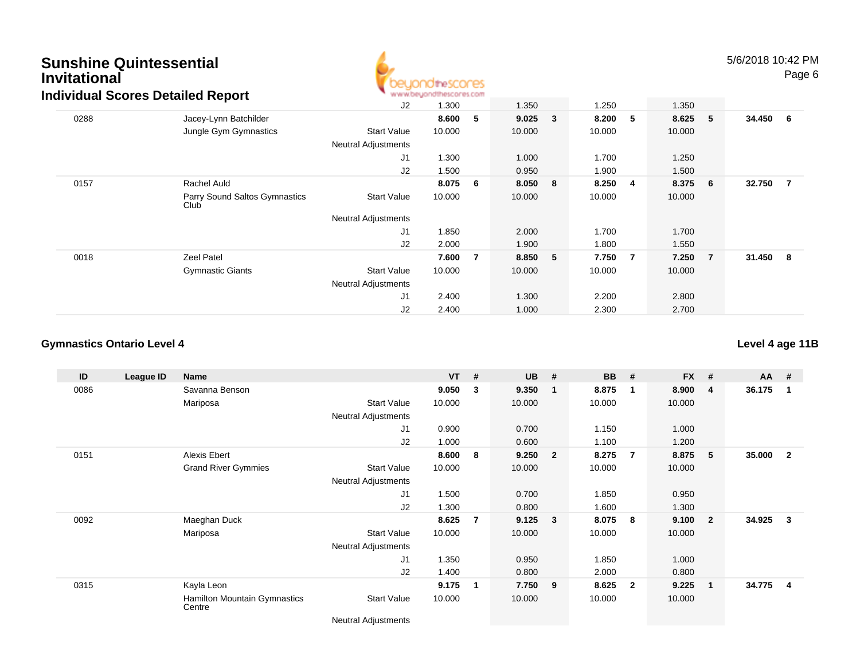

|      | idividual Scores Detailed Report      |                            | to as an entropy and use the service was even in |    |        |              |        |                |        |                 |          |  |
|------|---------------------------------------|----------------------------|--------------------------------------------------|----|--------|--------------|--------|----------------|--------|-----------------|----------|--|
|      |                                       | J2                         | 1.300                                            |    | 1.350  |              | 1.250  |                | 1.350  |                 |          |  |
| 0288 | Jacey-Lynn Batchilder                 |                            | 8.600                                            | 5  | 9.025  | $\mathbf{3}$ | 8.200  | 5              | 8.625  | 5               | 34.450 6 |  |
|      | Jungle Gym Gymnastics                 | Start Value                | 10.000                                           |    | 10.000 |              | 10.000 |                | 10.000 |                 |          |  |
|      |                                       | <b>Neutral Adjustments</b> |                                                  |    |        |              |        |                |        |                 |          |  |
|      |                                       | J <sub>1</sub>             | 1.300                                            |    | 1.000  |              | 1.700  |                | 1.250  |                 |          |  |
|      |                                       | J <sub>2</sub>             | 1.500                                            |    | 0.950  |              | 1.900  |                | 1.500  |                 |          |  |
| 0157 | Rachel Auld                           |                            | 8.075                                            | -6 | 8.050  | 8            | 8.250  | -4             | 8.375  | $6\overline{6}$ | 32.750 7 |  |
|      | Parry Sound Saltos Gymnastics<br>Club | <b>Start Value</b>         | 10.000                                           |    | 10.000 |              | 10.000 |                | 10.000 |                 |          |  |
|      |                                       | <b>Neutral Adjustments</b> |                                                  |    |        |              |        |                |        |                 |          |  |
|      |                                       | J <sub>1</sub>             | 1.850                                            |    | 2.000  |              | 1.700  |                | 1.700  |                 |          |  |
|      |                                       | J2                         | 2.000                                            |    | 1.900  |              | 1.800  |                | 1.550  |                 |          |  |
| 0018 | <b>Zeel Patel</b>                     |                            | 7.600                                            | 7  | 8.850  | 5            | 7.750  | $\overline{7}$ | 7.250  | $\overline{7}$  | 31.450 8 |  |
|      | <b>Gymnastic Giants</b>               | <b>Start Value</b>         | 10.000                                           |    | 10.000 |              | 10.000 |                | 10.000 |                 |          |  |
|      |                                       | <b>Neutral Adjustments</b> |                                                  |    |        |              |        |                |        |                 |          |  |
|      |                                       | J1                         | 2.400                                            |    | 1.300  |              | 2.200  |                | 2.800  |                 |          |  |
|      |                                       | J2                         | 2.400                                            |    | 1.000  |              | 2.300  |                | 2.700  |                 |          |  |

#### **Gymnastics Ontario Level 4**

**ID League ID Name VT # UB # BB # FX # AA #** 0086 Savanna Benson **9.050 <sup>3</sup> 9.350 <sup>1</sup> 8.875 <sup>1</sup> 8.900 <sup>4</sup> 36.175 <sup>1</sup>** Mariposa Start Value 10.000 10.000 10.000 10.000 Neutral Adjustments J1 0.900 0.700 1.150 1.000 J2 1.000 0.600 1.100 1.200 0151 Alexis Ebert **8.600 <sup>8</sup> 9.250 <sup>2</sup> 8.275 <sup>7</sup> 8.875 <sup>5</sup> 35.000 <sup>2</sup>** Grand River Gymmies Start Valuee 10.000 10.000 10.000 10.000 Neutral Adjustments J1 1.500 0.700 1.850 0.950 J2 1.300 0.800 1.600 1.300 0092 Maeghan Duck **8.625 <sup>7</sup> 9.125 <sup>3</sup> 8.075 <sup>8</sup> 9.100 <sup>2</sup> 34.925 <sup>3</sup>** Mariposa Start Value 10.000 10.000 10.000 10.000 Neutral Adjustments J1 1.350 0.950 1.850 1.000 J2 1.400 0.800 2.000 0.800 0315 Kayla Leon **9.175 <sup>1</sup> 7.750 <sup>9</sup> 8.625 <sup>2</sup> 9.225 <sup>1</sup> 34.775 <sup>4</sup>** Hamilton Mountain Gymnastics**Centre** Start Valuee 10.000 10.000 10.000 10.000

Neutral Adjustments

### **Level 4 age 11B**